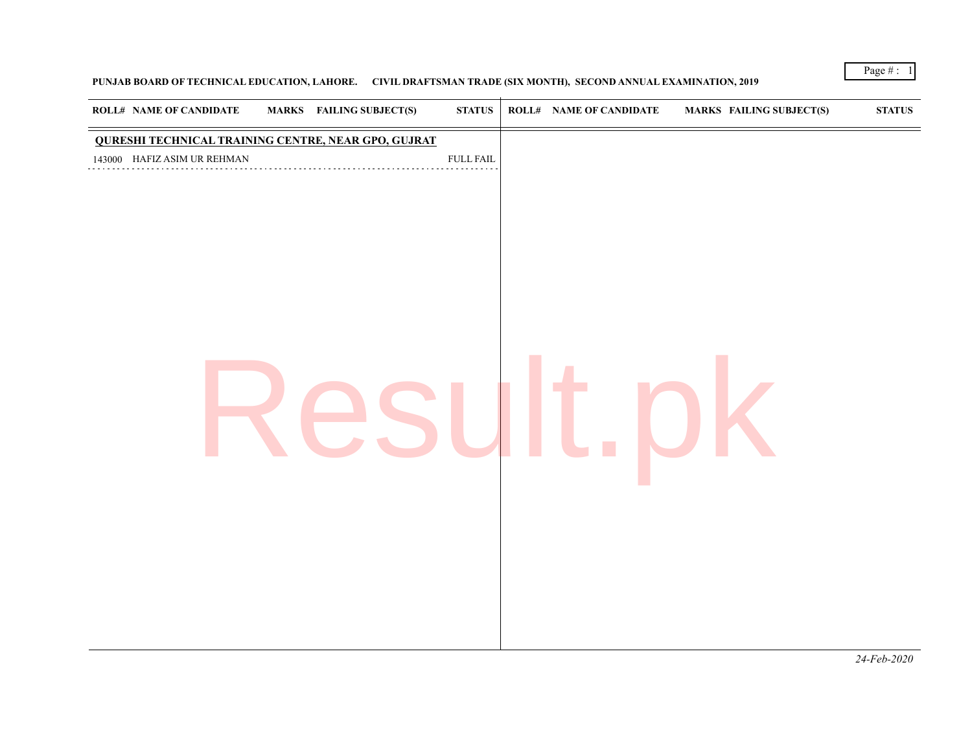## **PUNJAB BOARD OF TECHNICAL EDUCATION, LAHORE. CIVIL DRAFTSMAN TRADE (SIX MONTH), SECOND ANNUAL EXAMINATION, 2019**

Page # : 1

*24-Feb-2020*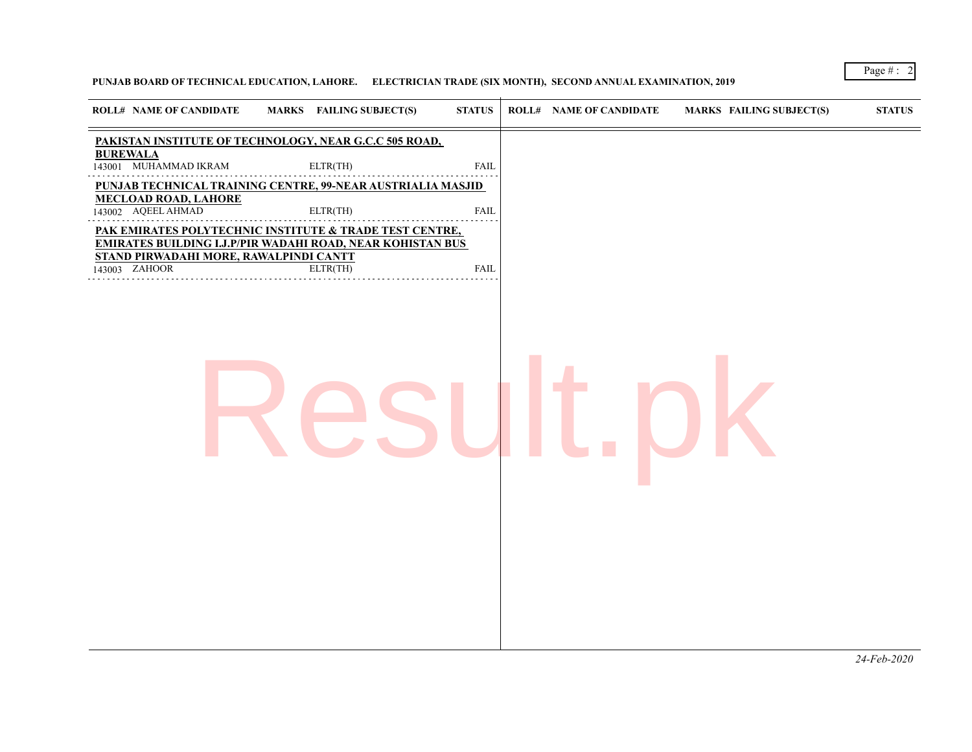## **PUNJAB BOARD OF TECHNICAL EDUCATION, LAHORE. ELECTRICIAN TRADE (SIX MONTH), SECOND ANNUAL EXAMINATION, 2019**

Page # : 2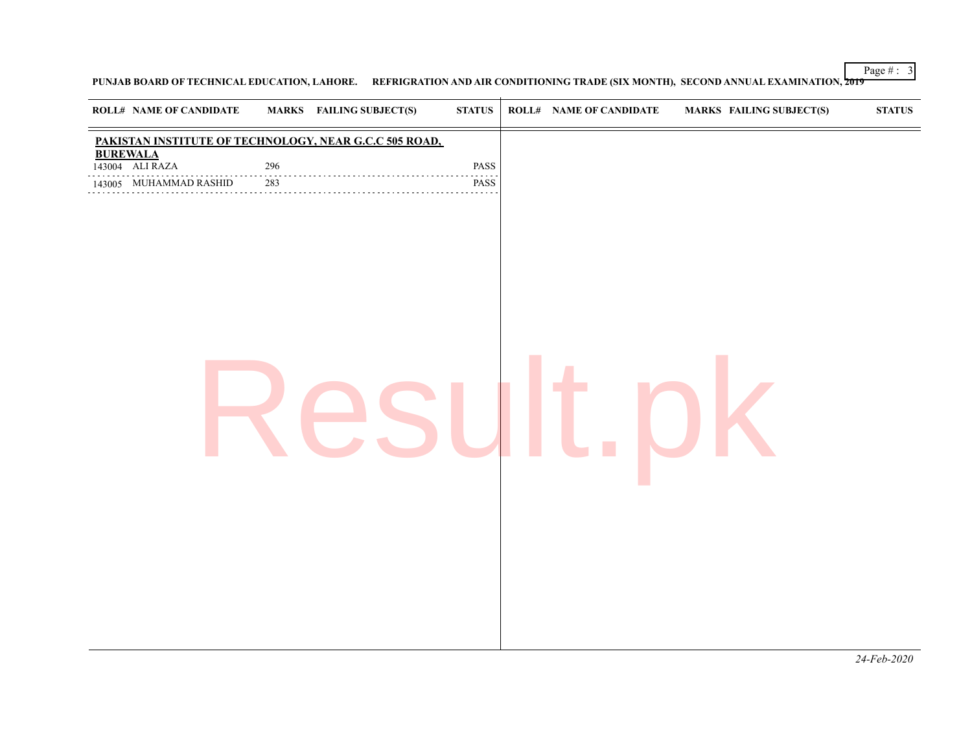Page # : 3

**PUNJAB BOARD OF TECHNICAL EDUCATION, LAHORE. REFRIGRATION AND AIR CONDITIONING TRADE (SIX MONTH), SECOND ANNUAL EXAMINATION, 2019**

| <b>ROLL# NAME OF CANDIDATE</b>     |               | <b>MARKS</b> FAILING SUBJECT(S)                        | $\bold{STATUS}$   | <b>ROLL# NAME OF CANDIDATE</b> | <b>MARKS FAILING SUBJECT(S)</b> | <b>STATUS</b> |
|------------------------------------|---------------|--------------------------------------------------------|-------------------|--------------------------------|---------------------------------|---------------|
|                                    |               | PAKISTAN INSTITUTE OF TECHNOLOGY, NEAR G.C.C 505 ROAD, |                   |                                |                                 |               |
| <b>BUREWALA</b><br>143004 ALI RAZA | 296           |                                                        | PASS              |                                |                                 |               |
| 143005 MUHAMMAD RASHID<br>.        | .<br>283<br>. |                                                        | د د د د د<br>PASS |                                |                                 |               |
|                                    |               |                                                        |                   |                                |                                 |               |

*24-Feb-2020*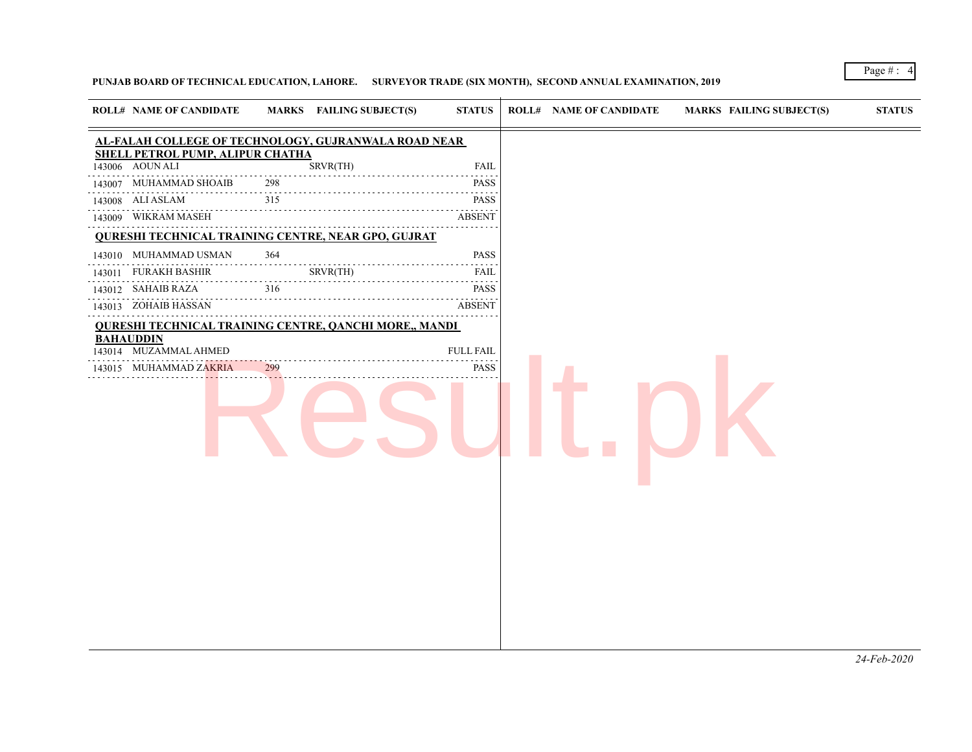## **PUNJAB BOARD OF TECHNICAL EDUCATION, LAHORE. SURVEYOR TRADE (SIX MONTH), SECOND ANNUAL EXAMINATION, 2019**

| <b>ROLL# NAME OF CANDIDATE</b>                                |                  | MARKS FAILING SUBJECT(S) | <b>STATUS</b>                                                                                                                                       | <b>ROLL# NAME OF CANDIDATE</b> | <b>MARKS FAILING SUBJECT(S)</b> | <b>STATUS</b> |
|---------------------------------------------------------------|------------------|--------------------------|-----------------------------------------------------------------------------------------------------------------------------------------------------|--------------------------------|---------------------------------|---------------|
| AL-FALAH COLLEGE OF TECHNOLOGY, GUJRANWALA ROAD NEAR          |                  |                          |                                                                                                                                                     |                                |                                 |               |
| SHELL PETROL PUMP, ALIPUR CHATHA                              |                  |                          |                                                                                                                                                     |                                |                                 |               |
| 143006 AOUN ALI                                               |                  | SRVR(TH)                 | FAIL                                                                                                                                                |                                |                                 |               |
| 143007 MUHAMMAD SHOAIB                                        | 298<br>$- - - -$ |                          | <b>PASS</b>                                                                                                                                         |                                |                                 |               |
| 143008 ALI ASLAM                                              | 315              |                          | <b>PASS</b><br>.                                                                                                                                    |                                |                                 |               |
| 143009 WIKRAM MASEH                                           |                  |                          | <b>ABSENT</b>                                                                                                                                       |                                |                                 |               |
| <b>QURESHI TECHNICAL TRAINING CENTRE, NEAR GPO, GUJRAT</b>    |                  |                          |                                                                                                                                                     |                                |                                 |               |
| 143010 MUHAMMAD USMAN                                         | 364              |                          | <b>PASS</b><br>$\mathcal{L}^{\mathcal{A}}\left( \mathcal{A}^{\mathcal{A}}\right) =\mathcal{L}^{\mathcal{A}}\left( \mathcal{A}^{\mathcal{A}}\right)$ |                                |                                 |               |
| 143011 FURAKH BASHIR                                          |                  | SRVR(TH)                 | FAIL                                                                                                                                                |                                |                                 |               |
| 143012 SAHAIB RAZA                                            | 316              |                          | <b>PASS</b><br>$\sim$ $\sim$ $\sim$ $\sim$ $\sim$                                                                                                   |                                |                                 |               |
| 143013 ZOHAIB HASSAN                                          |                  |                          | <b>ABSENT</b>                                                                                                                                       |                                |                                 |               |
| <b>QURESHI TECHNICAL TRAINING CENTRE, QANCHI MORE,, MANDI</b> |                  |                          |                                                                                                                                                     |                                |                                 |               |
| <b>BAHAUDDIN</b><br>143014 MUZAMMAL AHMED                     |                  |                          | <b>FULL FAIL</b>                                                                                                                                    |                                |                                 |               |
| 143015 MUHAMMAD ZAKRIA                                        | 299              |                          | .<br>PASS                                                                                                                                           |                                |                                 |               |
|                                                               |                  |                          |                                                                                                                                                     |                                |                                 |               |
|                                                               |                  |                          |                                                                                                                                                     |                                |                                 |               |
|                                                               |                  |                          |                                                                                                                                                     |                                |                                 |               |
|                                                               |                  |                          |                                                                                                                                                     |                                |                                 |               |
|                                                               |                  |                          |                                                                                                                                                     |                                |                                 |               |
|                                                               |                  |                          |                                                                                                                                                     |                                |                                 |               |
|                                                               |                  |                          |                                                                                                                                                     |                                |                                 |               |
|                                                               |                  |                          |                                                                                                                                                     |                                |                                 |               |
|                                                               |                  |                          |                                                                                                                                                     |                                |                                 |               |
|                                                               |                  |                          |                                                                                                                                                     |                                |                                 |               |
|                                                               |                  |                          |                                                                                                                                                     |                                |                                 |               |
|                                                               |                  |                          |                                                                                                                                                     |                                |                                 |               |

Page # : 4